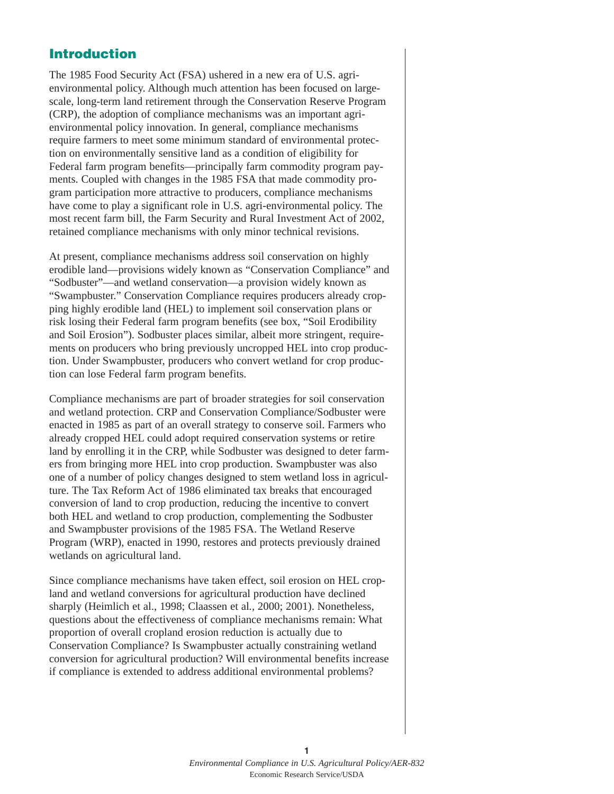## **Introduction**

The 1985 Food Security Act (FSA) ushered in a new era of U.S. agrienvironmental policy. Although much attention has been focused on largescale, long-term land retirement through the Conservation Reserve Program (CRP), the adoption of compliance mechanisms was an important agrienvironmental policy innovation. In general, compliance mechanisms require farmers to meet some minimum standard of environmental protection on environmentally sensitive land as a condition of eligibility for Federal farm program benefits—principally farm commodity program payments. Coupled with changes in the 1985 FSA that made commodity program participation more attractive to producers, compliance mechanisms have come to play a significant role in U.S. agri-environmental policy. The most recent farm bill, the Farm Security and Rural Investment Act of 2002, retained compliance mechanisms with only minor technical revisions.

At present, compliance mechanisms address soil conservation on highly erodible land—provisions widely known as "Conservation Compliance" and "Sodbuster"—and wetland conservation—a provision widely known as "Swampbuster." Conservation Compliance requires producers already cropping highly erodible land (HEL) to implement soil conservation plans or risk losing their Federal farm program benefits (see box, "Soil Erodibility and Soil Erosion"). Sodbuster places similar, albeit more stringent, requirements on producers who bring previously uncropped HEL into crop production. Under Swampbuster, producers who convert wetland for crop production can lose Federal farm program benefits.

Compliance mechanisms are part of broader strategies for soil conservation and wetland protection. CRP and Conservation Compliance/Sodbuster were enacted in 1985 as part of an overall strategy to conserve soil. Farmers who already cropped HEL could adopt required conservation systems or retire land by enrolling it in the CRP, while Sodbuster was designed to deter farmers from bringing more HEL into crop production. Swampbuster was also one of a number of policy changes designed to stem wetland loss in agriculture. The Tax Reform Act of 1986 eliminated tax breaks that encouraged conversion of land to crop production, reducing the incentive to convert both HEL and wetland to crop production, complementing the Sodbuster and Swampbuster provisions of the 1985 FSA. The Wetland Reserve Program (WRP), enacted in 1990, restores and protects previously drained wetlands on agricultural land.

Since compliance mechanisms have taken effect, soil erosion on HEL cropland and wetland conversions for agricultural production have declined sharply (Heimlich et al., 1998; Claassen et al*.,* 2000; 2001). Nonetheless, questions about the effectiveness of compliance mechanisms remain: What proportion of overall cropland erosion reduction is actually due to Conservation Compliance? Is Swampbuster actually constraining wetland conversion for agricultural production? Will environmental benefits increase if compliance is extended to address additional environmental problems?